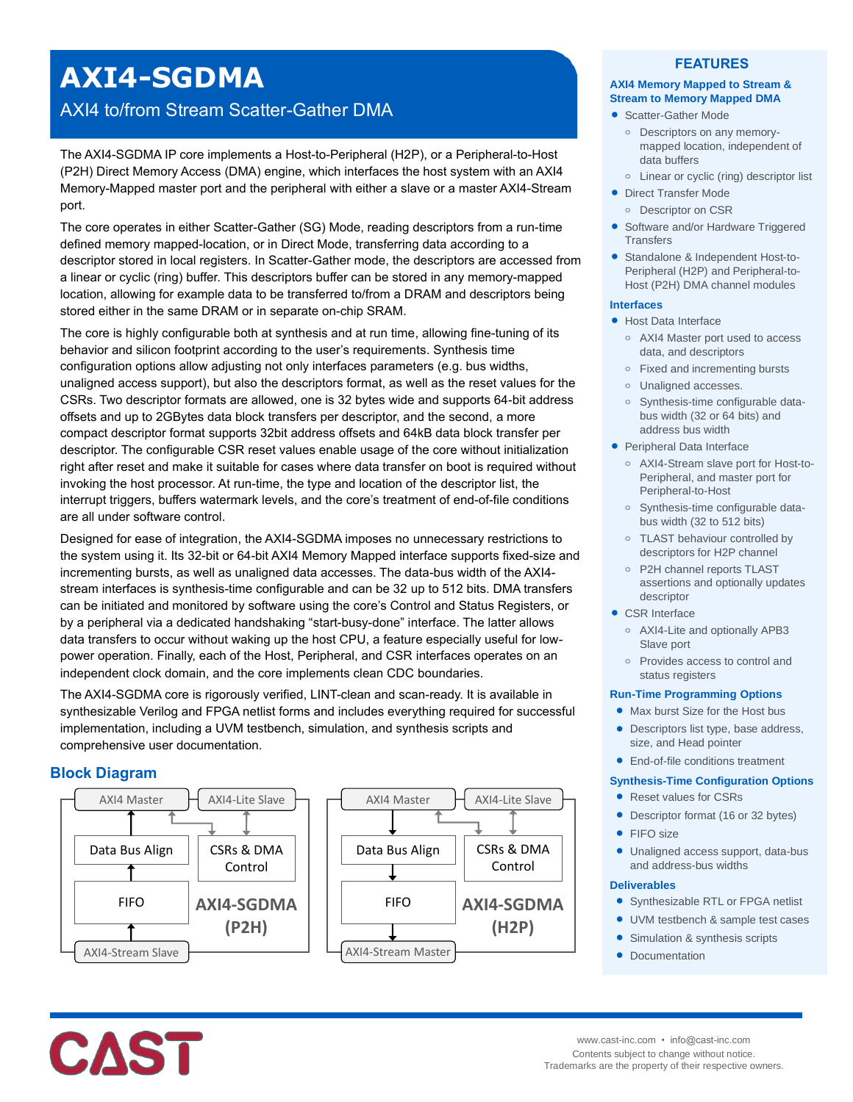# **AXI4-SGDMA**

# AXI4 to/from Stream Scatter-Gather DMA

The AXI4-SGDMA IP core implements a Host-to-Peripheral (H2P), or a Peripheral-to-Host (P2H) Direct Memory Access (DMA) engine, which interfaces the host system with an AXI4 Memory-Mapped master port and the peripheral with either a slave or a master AXI4-Stream port.

The core operates in either Scatter-Gather (SG) Mode, reading descriptors from a run-time defined memory mapped-location, or in Direct Mode, transferring data according to a descriptor stored in local registers. In Scatter-Gather mode, the descriptors are accessed from a linear or cyclic (ring) buffer. This descriptors buffer can be stored in any memory-mapped location, allowing for example data to be transferred to/from a DRAM and descriptors being stored either in the same DRAM or in separate on-chip SRAM.

The core is highly configurable both at synthesis and at run time, allowing fine-tuning of its behavior and silicon footprint according to the user's requirements. Synthesis time configuration options allow adjusting not only interfaces parameters (e.g. bus widths, unaligned access support), but also the descriptors format, as well as the reset values for the CSRs. Two descriptor formats are allowed, one is 32 bytes wide and supports 64-bit address offsets and up to 2GBytes data block transfers per descriptor, and the second, a more compact descriptor format supports 32bit address offsets and 64kB data block transfer per descriptor. The configurable CSR reset values enable usage of the core without initialization right after reset and make it suitable for cases where data transfer on boot is required without invoking the host processor. At run-time, the type and location of the descriptor list, the interrupt triggers, buffers watermark levels, and the core's treatment of end-of-file conditions are all under software control.

Designed for ease of integration, the AXI4-SGDMA imposes no unnecessary restrictions to the system using it. Its 32-bit or 64-bit AXI4 Memory Mapped interface supports fixed-size and incrementing bursts, as well as unaligned data accesses. The data-bus width of the AXI4 stream interfaces is synthesis-time configurable and can be 32 up to 512 bits. DMA transfers can be initiated and monitored by software using the core's Control and Status Registers, or by a peripheral via a dedicated handshaking "start-busy-done" interface. The latter allows data transfers to occur without waking up the host CPU, a feature especially useful for lowpower operation. Finally, each of the Host, Peripheral, and CSR interfaces operates on an independent clock domain, and the core implements clean CDC boundaries.

The AXI4-SGDMA core is rigorously verified, LINT-clean and scan-ready. It is available in synthesizable Verilog and FPGA netlist forms and includes everything required for successful implementation, including a UVM testbench, simulation, and synthesis scripts and comprehensive user documentation.

# **Block Diagram**



## **FEATURES**

#### **AXI4 Memory Mapped to Stream & Stream to Memory Mapped DMA**

- Scatter-Gather Mode
	- **o** Descriptors on any memorymapped location, independent of data buffers
- **o** Linear or cyclic (ring) descriptor list
- **Direct Transfer Mode o** Descriptor on CSR
- Software and/or Hardware Triggered **Transfers**
- Standalone & Independent Host-to-Peripheral (H2P) and Peripheral-to-Host (P2H) DMA channel modules

#### **Interfaces**

- Host Data Interface
	- **o** AXI4 Master port used to access data, and descriptors
	- **o** Fixed and incrementing bursts
	- **o** Unaligned accesses.
	- **o** Synthesis-time configurable databus width (32 or 64 bits) and address bus width
- Peripheral Data Interface
	- **o** AXI4-Stream slave port for Host-to-Peripheral, and master port for Peripheral-to-Host
	- **o** Synthesis-time configurable databus width (32 to 512 bits)
	- **o** TLAST behaviour controlled by descriptors for H2P channel
	- **o** P2H channel reports TLAST assertions and optionally updates descriptor
- CSR Interface
	- **o** AXI4-Lite and optionally APB3 Slave port
	- **o** Provides access to control and status registers

#### **Run-Time Programming Options**

- Max burst Size for the Host bus
- Descriptors list type, base address, size, and Head pointer
- End-of-file conditions treatment

#### **Synthesis-Time Configuration Options**

- Reset values for CSRs
- Descriptor format (16 or 32 bytes)
- FIFO size
- Unaligned access support, data-bus and address-bus widths

#### **Deliverables**

- Synthesizable RTL or FPGA netlist
- UVM testbench & sample test cases
- Simulation & synthesis scripts
- Documentation